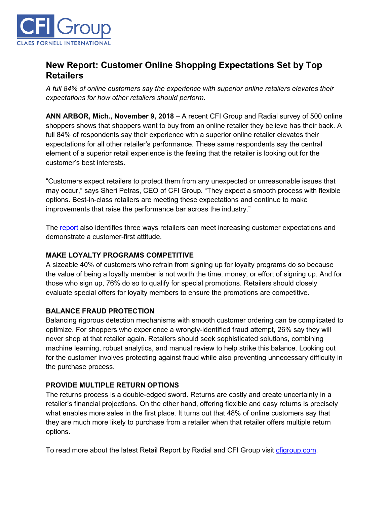

# **New Report: Customer Online Shopping Expectations Set by Top Retailers**

*A full 84% of online customers say the experience with superior online retailers elevates their expectations for how other retailers should perform.*

**ANN ARBOR, Mich., November 9, 2018** – A recent CFI Group and Radial survey of 500 online shoppers shows that shoppers want to buy from an online retailer they believe has their back. A full 84% of respondents say their experience with a superior online retailer elevates their expectations for all other retailer's performance. These same respondents say the central element of a superior retail experience is the feeling that the retailer is looking out for the customer's best interests.

"Customers expect retailers to protect them from any unexpected or unreasonable issues that may occur," says Sheri Petras, CEO of CFI Group. "They expect a smooth process with flexible options. Best-in-class retailers are meeting these expectations and continue to make improvements that raise the performance bar across the industry."

The [report](https://cfigroup.com/resource-item/retail-report-november-2018?utm_campaign=radial&utm_source=release&utm_content=top) also identifies three ways retailers can meet increasing customer expectations and demonstrate a customer-first attitude.

## **MAKE LOYALTY PROGRAMS COMPETITIVE**

A sizeable 40% of customers who refrain from signing up for loyalty programs do so because the value of being a loyalty member is not worth the time, money, or effort of signing up. And for those who sign up, 76% do so to qualify for special promotions. Retailers should closely evaluate special offers for loyalty members to ensure the promotions are competitive.

#### **BALANCE FRAUD PROTECTION**

Balancing rigorous detection mechanisms with smooth customer ordering can be complicated to optimize. For shoppers who experience a wrongly-identified fraud attempt, 26% say they will never shop at that retailer again. Retailers should seek sophisticated solutions, combining machine learning, robust analytics, and manual review to help strike this balance. Looking out for the customer involves protecting against fraud while also preventing unnecessary difficulty in the purchase process.

#### **PROVIDE MULTIPLE RETURN OPTIONS**

The returns process is a double-edged sword. Returns are costly and create uncertainty in a retailer's financial projections. On the other hand, offering flexible and easy returns is precisely what enables more sales in the first place. It turns out that 48% of online customers say that they are much more likely to purchase from a retailer when that retailer offers multiple return options.

To read more about the latest Retail Report by Radial and CFI Group visit [cfigroup.com.](https://cfigroup.com/resource-item/retail-report-november-2018?utm_campaign=radial&utm_source=release&utm_content=bottom)